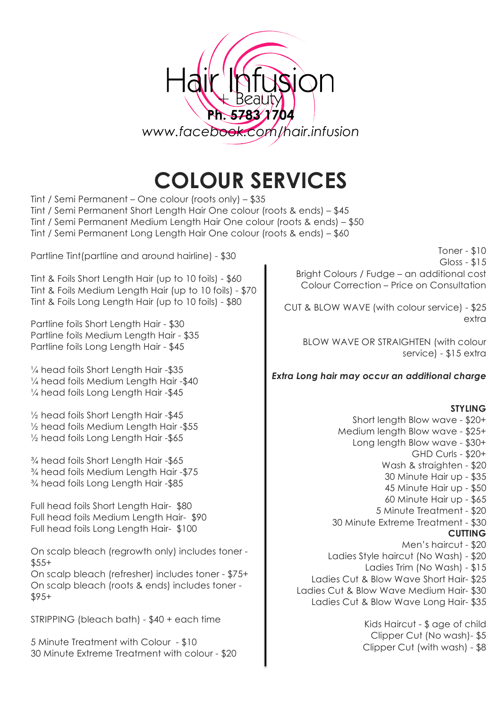

# **COLOUR SERVICES**

Tint / Semi Permanent – One colour (roots only) – \$35 Tint / Semi Permanent Short Length Hair One colour (roots & ends) – \$45 Tint / Semi Permanent Medium Length Hair One colour (roots & ends) – \$50 Tint / Semi Permanent Long Length Hair One colour (roots & ends) – \$60

Partline Tint(partline and around hairline) - \$30

Tint & Foils Short Length Hair (up to 10 foils) - \$60 Tint & Foils Medium Length Hair (up to 10 foils) - \$70 Tint & Foils Long Length Hair (up to 10 foils) - \$80

Partline foils Short Length Hair - \$30 Partline foils Medium Length Hair - \$35 Partline foils Long Length Hair - \$45

¼ head foils Short Length Hair -\$35 ¼ head foils Medium Length Hair -\$40 ¼ head foils Long Length Hair -\$45

½ head foils Short Length Hair -\$45 ½ head foils Medium Length Hair -\$55 ½ head foils Long Length Hair -\$65

¾ head foils Short Length Hair -\$65 ¾ head foils Medium Length Hair -\$75 ¾ head foils Long Length Hair -\$85

Full head foils Short Length Hair- \$80 Full head foils Medium Length Hair- \$90 Full head foils Long Length Hair- \$100

On scalp bleach (regrowth only) includes toner -  $$55+$ 

On scalp bleach (refresher) includes toner - \$75+ On scalp bleach (roots & ends) includes toner - \$95+

STRIPPING (bleach bath) - \$40 + each time

5 Minute Treatment with Colour - \$10 30 Minute Extreme Treatment with colour - \$20

Toner - \$10 Gloss - \$15 Bright Colours / Fudge – an additional cost Colour Correction – Price on Consultation

CUT & BLOW WAVE (with colour service) - \$25 extra

BLOW WAVE OR STRAIGHTEN (with colour service) - \$15 extra

*Extra Long hair may occur an additional charge*

#### **STYLING**

Short length Blow wave - \$20+ Medium length Blow wave - \$25+ Long length Blow wave - \$30+ GHD Curls - \$20+ Wash & straighten - \$20 30 Minute Hair up - \$35 45 Minute Hair up - \$50 60 Minute Hair up - \$65 5 Minute Treatment - \$20 30 Minute Extreme Treatment - \$30 **CUTTING** Men's haircut - \$20 Ladies Style haircut (No Wash) - \$20 Ladies Trim (No Wash) - \$15

Ladies Cut & Blow Wave Short Hair- \$25

Ladies Cut & Blow Wave Medium Hair- \$30

Ladies Cut & Blow Wave Long Hair- \$35

Kids Haircut - \$ age of child Clipper Cut (No wash)- \$5 Clipper Cut (with wash) - \$8